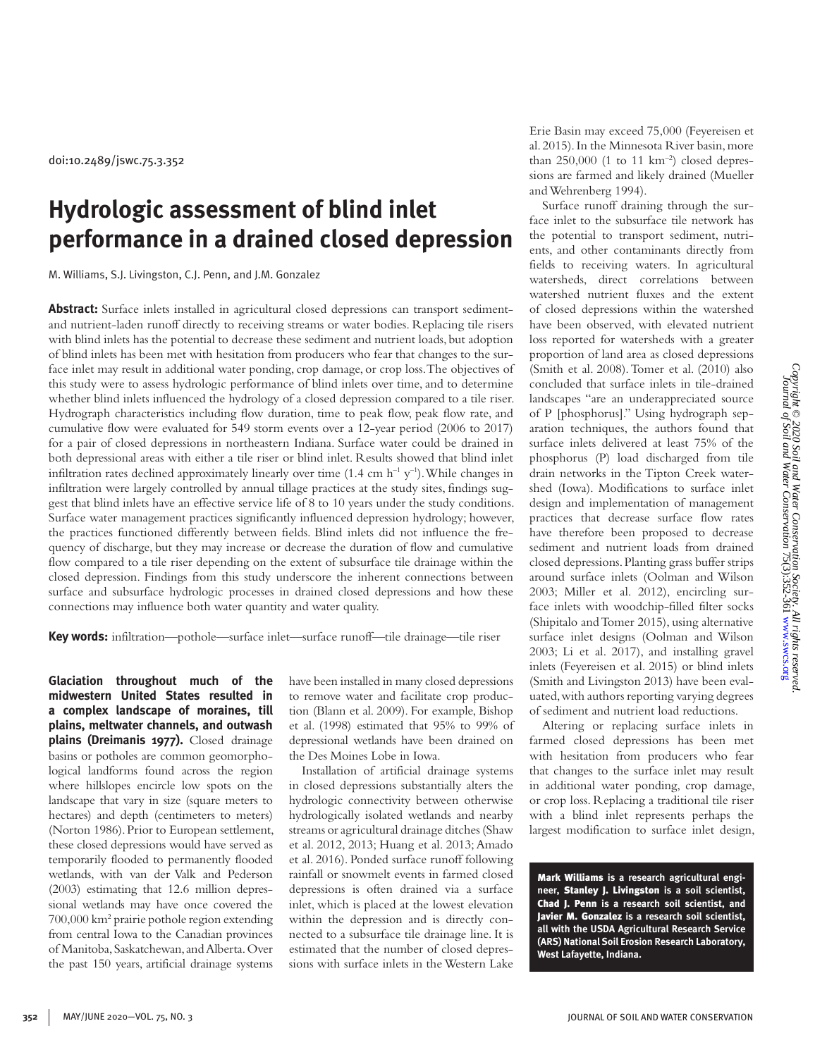# **Hydrologic assessment of blind inlet performance in a drained closed depression**

M. Williams, S.J. Livingston, C.J. Penn, and J.M. Gonzalez

**Abstract:** Surface inlets installed in agricultural closed depressions can transport sedimentand nutrient-laden runoff directly to receiving streams or water bodies. Replacing tile risers with blind inlets has the potential to decrease these sediment and nutrient loads, but adoption of blind inlets has been met with hesitation from producers who fear that changes to the surface inlet may result in additional water ponding, crop damage, or crop loss. The objectives of this study were to assess hydrologic performance of blind inlets over time, and to determine whether blind inlets influenced the hydrology of a closed depression compared to a tile riser. Hydrograph characteristics including flow duration, time to peak flow, peak flow rate, and cumulative flow were evaluated for 549 storm events over a 12-year period (2006 to 2017) for a pair of closed depressions in northeastern Indiana. Surface water could be drained in both depressional areas with either a tile riser or blind inlet. Results showed that blind inlet infiltration rates declined approximately linearly over time  $(1.4 \text{ cm h}^{-1} \text{ y}^{-1})$ . While changes in infiltration were largely controlled by annual tillage practices at the study sites, findings suggest that blind inlets have an effective service life of 8 to 10 years under the study conditions. Surface water management practices significantly influenced depression hydrology; however, the practices functioned differently between fields. Blind inlets did not influence the frequency of discharge, but they may increase or decrease the duration of flow and cumulative flow compared to a tile riser depending on the extent of subsurface tile drainage within the closed depression. Findings from this study underscore the inherent connections between surface and subsurface hydrologic processes in drained closed depressions and how these connections may influence both water quantity and water quality.

**Key words:** infiltration—pothole—surface inlet—surface runoff—tile drainage—tile riser

**Glaciation throughout much of the midwestern United States resulted in a complex landscape of moraines, till plains, meltwater channels, and outwash plains (Dreimanis 1977).** Closed drainage basins or potholes are common geomorphological landforms found across the region where hillslopes encircle low spots on the landscape that vary in size (square meters to hectares) and depth (centimeters to meters) (Norton 1986). Prior to European settlement, these closed depressions would have served as temporarily flooded to permanently flooded wetlands, with van der Valk and Pederson (2003) estimating that 12.6 million depressional wetlands may have once covered the 700,000 km2 prairie pothole region extending from central Iowa to the Canadian provinces of Manitoba, Saskatchewan, and Alberta. Over the past 150 years, artificial drainage systems

have been installed in many closed depressions to remove water and facilitate crop production (Blann et al. 2009). For example, Bishop et al. (1998) estimated that 95% to 99% of depressional wetlands have been drained on the Des Moines Lobe in Iowa.

Installation of artificial drainage systems in closed depressions substantially alters the hydrologic connectivity between otherwise hydrologically isolated wetlands and nearby streams or agricultural drainage ditches (Shaw et al. 2012, 2013; Huang et al. 2013; Amado et al. 2016). Ponded surface runoff following rainfall or snowmelt events in farmed closed depressions is often drained via a surface inlet, which is placed at the lowest elevation within the depression and is directly connected to a subsurface tile drainage line. It is estimated that the number of closed depressions with surface inlets in the Western Lake

Erie Basin may exceed 75,000 (Feyereisen et al. 2015). In the Minnesota River basin, more than  $250,000$  (1 to  $11 \text{ km}^{-2}$ ) closed depressions are farmed and likely drained (Mueller and Wehrenberg 1994).

Surface runoff draining through the surface inlet to the subsurface tile network has the potential to transport sediment, nutrients, and other contaminants directly from fields to receiving waters. In agricultural watersheds, direct correlations between watershed nutrient fluxes and the extent of closed depressions within the watershed have been observed, with elevated nutrient loss reported for watersheds with a greater proportion of land area as closed depressions (Smith et al. 2008). Tomer et al. (2010) also concluded that surface inlets in tile-drained landscapes "are an underappreciated source of P [phosphorus]." Using hydrograph separation techniques, the authors found that surface inlets delivered at least 75% of the phosphorus (P) load discharged from tile drain networks in the Tipton Creek watershed (Iowa). Modifications to surface inlet design and implementation of management practices that decrease surface flow rates have therefore been proposed to decrease sediment and nutrient loads from drained closed depressions. Planting grass buffer strips around surface inlets (Oolman and Wilson 2003; Miller et al. 2012), encircling surface inlets with woodchip-filled filter socks (Shipitalo and Tomer 2015), using alternative surface inlet designs (Oolman and Wilson 2003; Li et al. 2017), and installing gravel inlets (Feyereisen et al. 2015) or blind inlets (Smith and Livingston 2013) have been evaluated, with authors reporting varying degrees of sediment and nutrient load reductions.

Altering or replacing surface inlets in farmed closed depressions has been met with hesitation from producers who fear that changes to the surface inlet may result in additional water ponding, crop damage, or crop loss. Replacing a traditional tile riser with a blind inlet represents perhaps the largest modification to surface inlet design,

Mark Williams **is a research agricultural engineer,** Stanley J. Livingston **is a soil scientist,**  Chad J. Penn **is a research soil scientist, and**  Javier M. Gonzalez **is a research soil scientist, all with the USDA Agricultural Research Service (ARS) National Soil Erosion Research Laboratory, West Lafayette, Indiana.**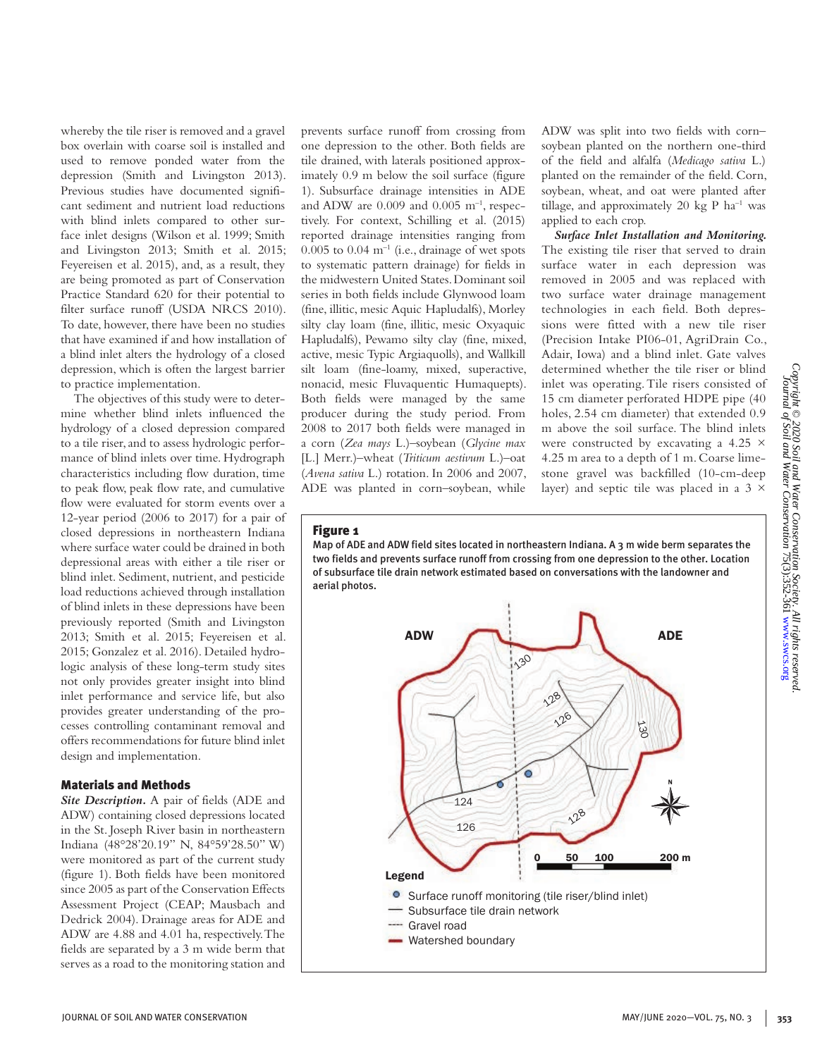whereby the tile riser is removed and a gravel box overlain with coarse soil is installed and used to remove ponded water from the depression (Smith and Livingston 2013). Previous studies have documented significant sediment and nutrient load reductions with blind inlets compared to other surface inlet designs (Wilson et al. 1999; Smith and Livingston 2013; Smith et al. 2015; Feyereisen et al. 2015), and, as a result, they are being promoted as part of Conservation Practice Standard 620 for their potential to filter surface runoff (USDA NRCS 2010). To date, however, there have been no studies that have examined if and how installation of a blind inlet alters the hydrology of a closed depression, which is often the largest barrier to practice implementation.

The objectives of this study were to determine whether blind inlets influenced the hydrology of a closed depression compared to a tile riser, and to assess hydrologic performance of blind inlets over time. Hydrograph characteristics including flow duration, time to peak flow, peak flow rate, and cumulative flow were evaluated for storm events over a 12-year period (2006 to 2017) for a pair of closed depressions in northeastern Indiana where surface water could be drained in both depressional areas with either a tile riser or blind inlet. Sediment, nutrient, and pesticide load reductions achieved through installation of blind inlets in these depressions have been previously reported (Smith and Livingston 2013; Smith et al. 2015; Feyereisen et al. 2015; Gonzalez et al. 2016). Detailed hydrologic analysis of these long-term study sites not only provides greater insight into blind inlet performance and service life, but also provides greater understanding of the processes controlling contaminant removal and offers recommendations for future blind inlet design and implementation.

# Materials and Methods

*Site Description.* A pair of fields (ADE and ADW) containing closed depressions located in the St. Joseph River basin in northeastern Indiana (48°28'20.19" N, 84°59'28.50" W) were monitored as part of the current study (figure 1). Both fields have been monitored since 2005 as part of the Conservation Effects Assessment Project (CEAP; Mausbach and Dedrick 2004). Drainage areas for ADE and ADW are 4.88 and 4.01 ha, respectively. The fields are separated by a 3 m wide berm that serves as a road to the monitoring station and

prevents surface runoff from crossing from one depression to the other. Both fields are tile drained, with laterals positioned approximately 0.9 m below the soil surface (figure 1). Subsurface drainage intensities in ADE and ADW are  $0.009$  and  $0.005$  m<sup>-1</sup>, respectively. For context, Schilling et al. (2015) reported drainage intensities ranging from  $0.005$  to  $0.04$  m<sup>-1</sup> (i.e., drainage of wet spots to systematic pattern drainage) for fields in the midwestern United States. Dominant soil series in both fields include Glynwood loam (fine, illitic, mesic Aquic Hapludalfs), Morley silty clay loam (fine, illitic, mesic Oxyaquic Hapludalfs), Pewamo silty clay (fine, mixed, active, mesic Typic Argiaquolls), and Wallkill silt loam (fine-loamy, mixed, superactive, nonacid, mesic Fluvaquentic Humaquepts). Both fields were managed by the same producer during the study period. From 2008 to 2017 both fields were managed in a corn (*Zea mays* L.)–soybean (*Glycine max* [L.] Merr.)–wheat (*Triticum aestivum* L.)–oat (*Avena sativa* L.) rotation. In 2006 and 2007, ADE was planted in corn–soybean, while ADW was split into two fields with corn– soybean planted on the northern one-third of the field and alfalfa (*Medicago sativa* L.) planted on the remainder of the field. Corn, soybean, wheat, and oat were planted after tillage, and approximately 20 kg P  $ha^{-1}$  was applied to each crop.

*Surface Inlet Installation and Monitoring.*  The existing tile riser that served to drain surface water in each depression was removed in 2005 and was replaced with two surface water drainage management technologies in each field. Both depressions were fitted with a new tile riser (Precision Intake PI06-01, AgriDrain Co., Adair, Iowa) and a blind inlet. Gate valves determined whether the tile riser or blind inlet was operating. Tile risers consisted of 15 cm diameter perforated HDPE pipe (40 holes, 2.54 cm diameter) that extended 0.9 m above the soil surface. The blind inlets were constructed by excavating a 4.25  $\times$ 4.25 m area to a depth of 1 m. Coarse limestone gravel was backfilled (10-cm-deep layer) and septic tile was placed in a  $3 \times$ 

# Figure 1

Map of ADE and ADW field sites located in northeastern Indiana. A 3 m wide berm separates the two fields and prevents surface runoff from crossing from one depression to the other. Location of subsurface tile drain network estimated based on conversations with the landowner and aerial photos.

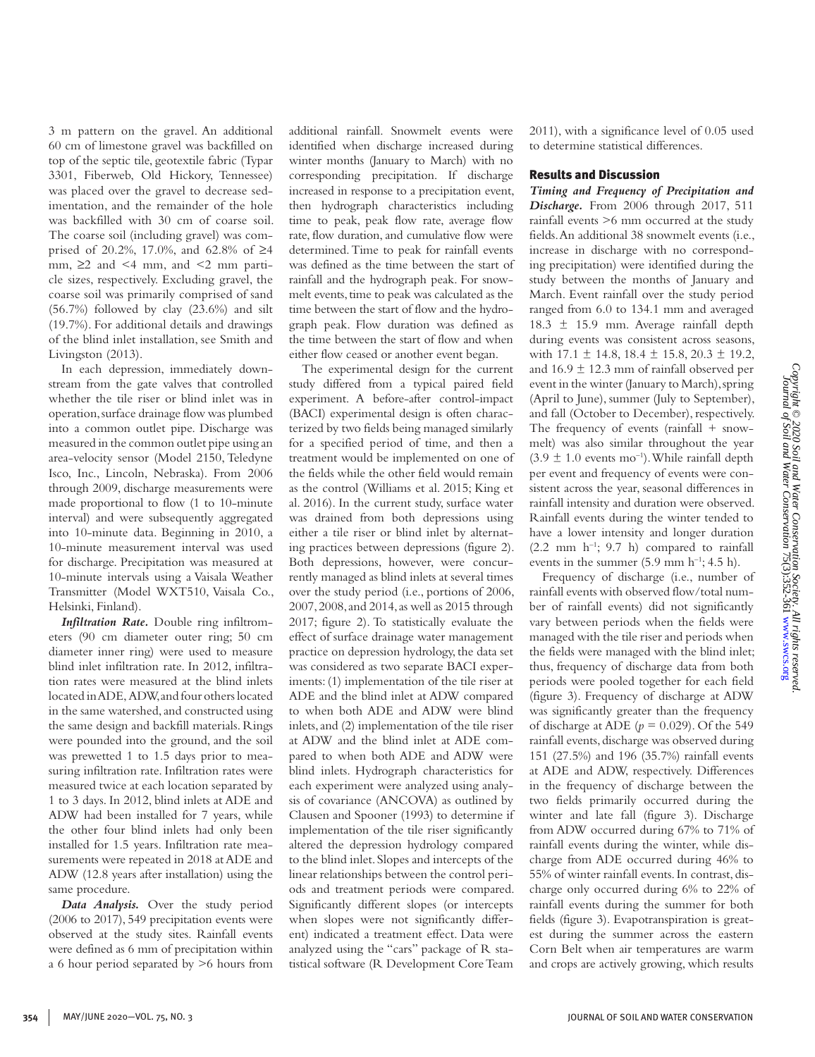3 m pattern on the gravel. An additional 60 cm of limestone gravel was backfilled on top of the septic tile, geotextile fabric (Typar 3301, Fiberweb, Old Hickory, Tennessee) was placed over the gravel to decrease sedimentation, and the remainder of the hole was backfilled with 30 cm of coarse soil. The coarse soil (including gravel) was comprised of 20.2%, 17.0%, and 62.8% of ≥4 mm,  $\geq 2$  and  $\leq 4$  mm, and  $\leq 2$  mm particle sizes, respectively. Excluding gravel, the coarse soil was primarily comprised of sand (56.7%) followed by clay (23.6%) and silt (19.7%). For additional details and drawings of the blind inlet installation, see Smith and Livingston (2013).

In each depression, immediately downstream from the gate valves that controlled whether the tile riser or blind inlet was in operation, surface drainage flow was plumbed into a common outlet pipe. Discharge was measured in the common outlet pipe using an area-velocity sensor (Model 2150, Teledyne Isco, Inc., Lincoln, Nebraska). From 2006 through 2009, discharge measurements were made proportional to flow (1 to 10-minute interval) and were subsequently aggregated into 10-minute data. Beginning in 2010, a 10-minute measurement interval was used for discharge. Precipitation was measured at 10-minute intervals using a Vaisala Weather Transmitter (Model WXT510, Vaisala Co., Helsinki, Finland).

*Infiltration Rate.* Double ring infiltrometers (90 cm diameter outer ring; 50 cm diameter inner ring) were used to measure blind inlet infiltration rate. In 2012, infiltration rates were measured at the blind inlets located in ADE, ADW, and four others located in the same watershed, and constructed using the same design and backfill materials. Rings were pounded into the ground, and the soil was prewetted 1 to 1.5 days prior to measuring infiltration rate. Infiltration rates were measured twice at each location separated by 1 to 3 days. In 2012, blind inlets at ADE and ADW had been installed for 7 years, while the other four blind inlets had only been installed for 1.5 years. Infiltration rate measurements were repeated in 2018 at ADE and ADW (12.8 years after installation) using the same procedure.

*Data Analysis.* Over the study period (2006 to 2017), 549 precipitation events were observed at the study sites. Rainfall events were defined as 6 mm of precipitation within a 6 hour period separated by >6 hours from additional rainfall. Snowmelt events were identified when discharge increased during winter months (January to March) with no corresponding precipitation. If discharge increased in response to a precipitation event, then hydrograph characteristics including time to peak, peak flow rate, average flow rate, flow duration, and cumulative flow were determined. Time to peak for rainfall events was defined as the time between the start of rainfall and the hydrograph peak. For snowmelt events, time to peak was calculated as the time between the start of flow and the hydrograph peak. Flow duration was defined as the time between the start of flow and when either flow ceased or another event began.

The experimental design for the current study differed from a typical paired field experiment. A before-after control-impact (BACI) experimental design is often characterized by two fields being managed similarly for a specified period of time, and then a treatment would be implemented on one of the fields while the other field would remain as the control (Williams et al. 2015; King et al. 2016). In the current study, surface water was drained from both depressions using either a tile riser or blind inlet by alternating practices between depressions (figure 2). Both depressions, however, were concurrently managed as blind inlets at several times over the study period (i.e., portions of 2006, 2007, 2008, and 2014, as well as 2015 through 2017; figure 2). To statistically evaluate the effect of surface drainage water management practice on depression hydrology, the data set was considered as two separate BACI experiments: (1) implementation of the tile riser at ADE and the blind inlet at ADW compared to when both ADE and ADW were blind inlets, and (2) implementation of the tile riser at ADW and the blind inlet at ADE compared to when both ADE and ADW were blind inlets. Hydrograph characteristics for each experiment were analyzed using analysis of covariance (ANCOVA) as outlined by Clausen and Spooner (1993) to determine if implementation of the tile riser significantly altered the depression hydrology compared to the blind inlet. Slopes and intercepts of the linear relationships between the control periods and treatment periods were compared. Significantly different slopes (or intercepts when slopes were not significantly different) indicated a treatment effect. Data were analyzed using the "cars" package of R statistical software (R Development Core Team

2011), with a significance level of 0.05 used to determine statistical differences.

#### Results and Discussion

*Timing and Frequency of Precipitation and Discharge.* From 2006 through 2017, 511 rainfall events >6 mm occurred at the study fields. An additional 38 snowmelt events (i.e., increase in discharge with no corresponding precipitation) were identified during the study between the months of January and March. Event rainfall over the study period ranged from 6.0 to 134.1 mm and averaged 18.3 ± 15.9 mm. Average rainfall depth during events was consistent across seasons, with  $17.1 \pm 14.8$ ,  $18.4 \pm 15.8$ ,  $20.3 \pm 19.2$ , and  $16.9 \pm 12.3$  mm of rainfall observed per event in the winter (January to March), spring (April to June), summer (July to September), and fall (October to December), respectively. The frequency of events (rainfall  $+$  snowmelt) was also similar throughout the year  $(3.9 \pm 1.0 \text{ events } \text{mo}^{-1})$ . While rainfall depth per event and frequency of events were consistent across the year, seasonal differences in rainfall intensity and duration were observed. Rainfall events during the winter tended to have a lower intensity and longer duration  $(2.2 \text{ mm } \text{h}^{-1}; 9.7 \text{ h})$  compared to rainfall events in the summer  $(5.9 \text{ mm h}^{-1}; 4.5 \text{ h})$ .

Frequency of discharge (i.e., number of rainfall events with observed flow/total number of rainfall events) did not significantly vary between periods when the fields were managed with the tile riser and periods when the fields were managed with the blind inlet; thus, frequency of discharge data from both periods were pooled together for each field (figure 3). Frequency of discharge at ADW was significantly greater than the frequency of discharge at ADE (*p* = 0.029). Of the 549 rainfall events, discharge was observed during 151 (27.5%) and 196 (35.7%) rainfall events at ADE and ADW, respectively. Differences in the frequency of discharge between the two fields primarily occurred during the winter and late fall (figure 3). Discharge from ADW occurred during 67% to 71% of rainfall events during the winter, while discharge from ADE occurred during 46% to 55% of winter rainfall events. In contrast, discharge only occurred during 6% to 22% of rainfall events during the summer for both fields (figure 3). Evapotranspiration is greatest during the summer across the eastern Corn Belt when air temperatures are warm and crops are actively growing, which results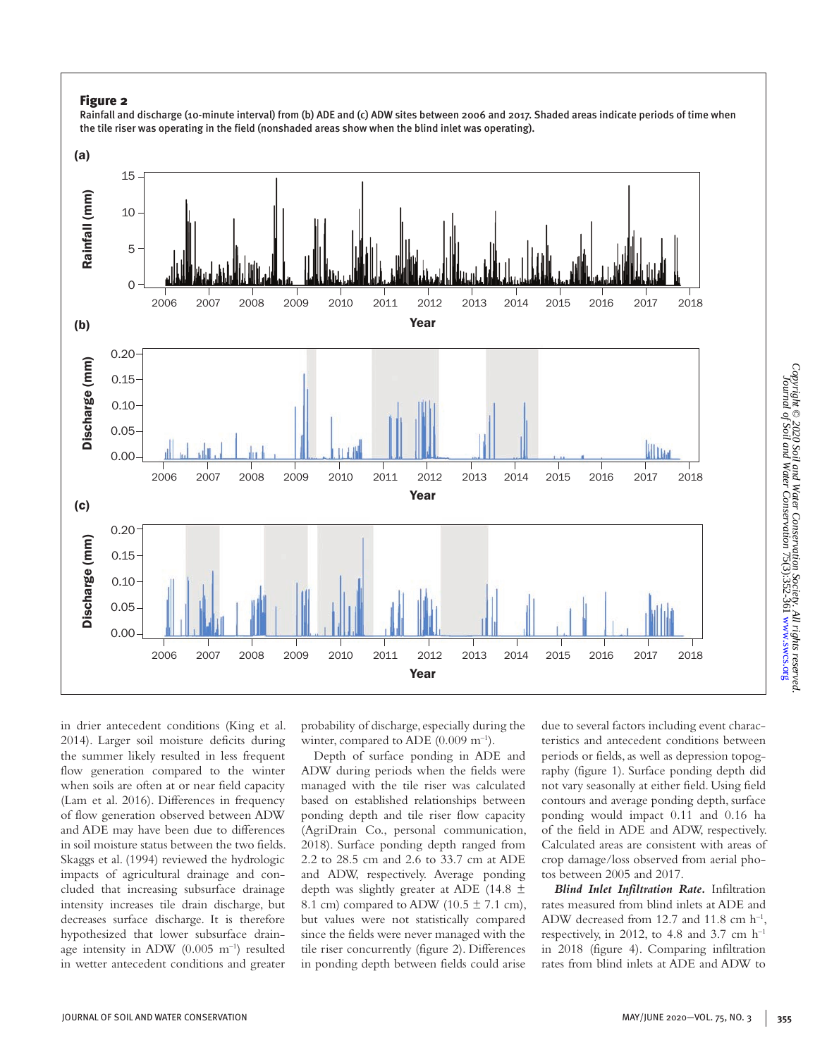#### Figure 2



in drier antecedent conditions (King et al. 2014). Larger soil moisture deficits during the summer likely resulted in less frequent flow generation compared to the winter when soils are often at or near field capacity (Lam et al. 2016). Differences in frequency of flow generation observed between ADW and ADE may have been due to differences in soil moisture status between the two fields. Skaggs et al. (1994) reviewed the hydrologic impacts of agricultural drainage and concluded that increasing subsurface drainage intensity increases tile drain discharge, but decreases surface discharge. It is therefore hypothesized that lower subsurface drainage intensity in ADW (0.005 m–1) resulted in wetter antecedent conditions and greater

probability of discharge, especially during the winter, compared to ADE  $(0.009 \text{ m}^{-1})$ .

Depth of surface ponding in ADE and ADW during periods when the fields were managed with the tile riser was calculated based on established relationships between ponding depth and tile riser flow capacity (AgriDrain Co., personal communication, 2018). Surface ponding depth ranged from 2.2 to 28.5 cm and 2.6 to 33.7 cm at ADE and ADW, respectively. Average ponding depth was slightly greater at ADE (14.8  $\pm$ 8.1 cm) compared to ADW (10.5  $\pm$  7.1 cm), but values were not statistically compared since the fields were never managed with the tile riser concurrently (figure 2). Differences in ponding depth between fields could arise due to several factors including event characteristics and antecedent conditions between periods or fields, as well as depression topography (figure 1). Surface ponding depth did not vary seasonally at either field. Using field contours and average ponding depth, surface ponding would impact 0.11 and 0.16 ha of the field in ADE and ADW, respectively. Calculated areas are consistent with areas of crop damage/loss observed from aerial photos between 2005 and 2017.

*Blind Inlet Infiltration Rate.* Infiltration rates measured from blind inlets at ADE and ADW decreased from 12.7 and 11.8 cm  $h^{-1}$ , respectively, in 2012, to 4.8 and 3.7 cm  $h^{-1}$ in 2018 (figure 4). Comparing infiltration rates from blind inlets at ADE and ADW to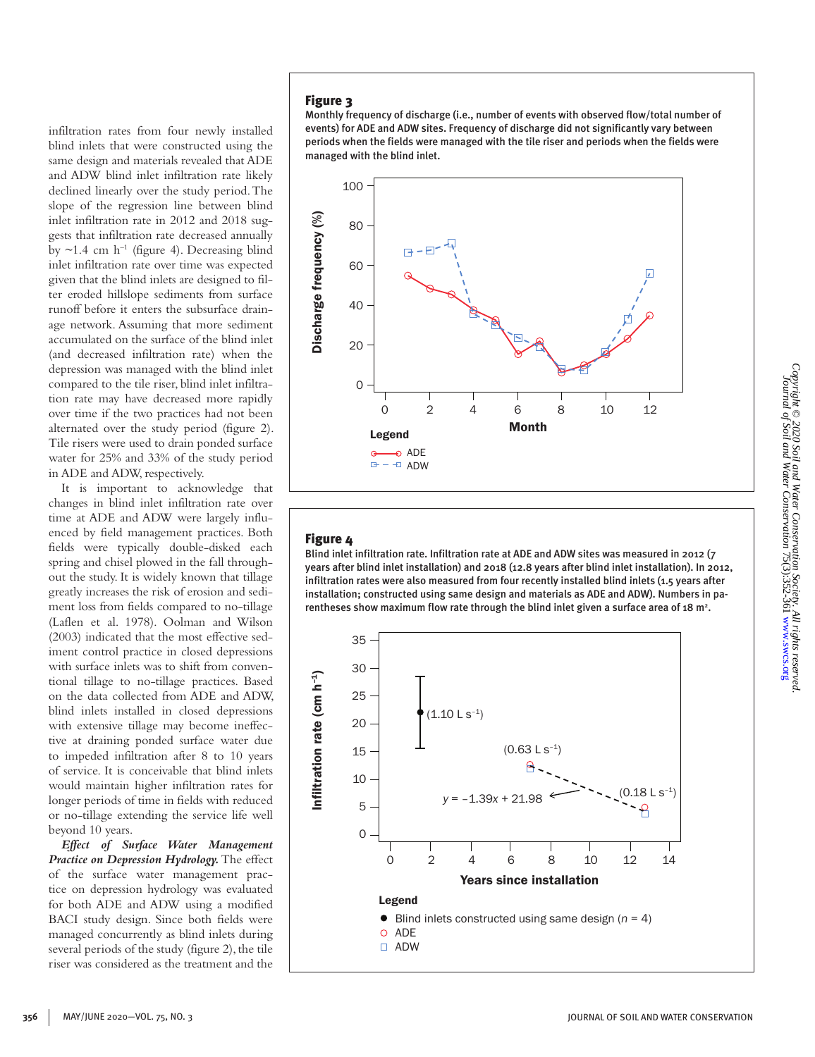infiltration rates from four newly installed blind inlets that were constructed using the same design and materials revealed that ADE and ADW blind inlet infiltration rate likely declined linearly over the study period. The slope of the regression line between blind inlet infiltration rate in 2012 and 2018 suggests that infiltration rate decreased annually by  $\sim$ 1.4 cm h<sup>-1</sup> (figure 4). Decreasing blind inlet infiltration rate over time was expected given that the blind inlets are designed to filter eroded hillslope sediments from surface runoff before it enters the subsurface drainage network. Assuming that more sediment accumulated on the surface of the blind inlet (and decreased infiltration rate) when the depression was managed with the blind inlet compared to the tile riser, blind inlet infiltration rate may have decreased more rapidly over time if the two practices had not been alternated over the study period (figure 2). Tile risers were used to drain ponded surface water for 25% and 33% of the study period in ADE and ADW, respectively.

It is important to acknowledge that changes in blind inlet infiltration rate over time at ADE and ADW were largely influenced by field management practices. Both fields were typically double-disked each spring and chisel plowed in the fall throughout the study. It is widely known that tillage greatly increases the risk of erosion and sediment loss from fields compared to no-tillage (Laflen et al. 1978). Oolman and Wilson (2003) indicated that the most effective sediment control practice in closed depressions with surface inlets was to shift from conventional tillage to no-tillage practices. Based on the data collected from ADE and ADW, blind inlets installed in closed depressions with extensive tillage may become ineffective at draining ponded surface water due to impeded infiltration after 8 to 10 years of service. It is conceivable that blind inlets would maintain higher infiltration rates for longer periods of time in fields with reduced or no-tillage extending the service life well beyond 10 years.

*Effect of Surface Water Management Practice on Depression Hydrology.* The effect of the surface water management practice on depression hydrology was evaluated for both ADE and ADW using a modified BACI study design. Since both fields were managed concurrently as blind inlets during several periods of the study (figure 2), the tile riser was considered as the treatment and the

### Figure 3

Monthly frequency of discharge (i.e., number of events with observed flow/total number of events) for ADE and ADW sites. Frequency of discharge did not significantly vary between periods when the fields were managed with the tile riser and periods when the fields were managed with the blind inlet.



# Figure 4

Blind inlet infiltration rate. Infiltration rate at ADE and ADW sites was measured in 2012 (7 years after blind inlet installation) and 2018 (12.8 years after blind inlet installation). In 2012, infiltration rates were also measured from four recently installed blind inlets (1.5 years after installation; constructed using same design and materials as ADE and ADW). Numbers in parentheses show maximum flow rate through the blind inlet given a surface area of  $18$  m<sup>2</sup>.

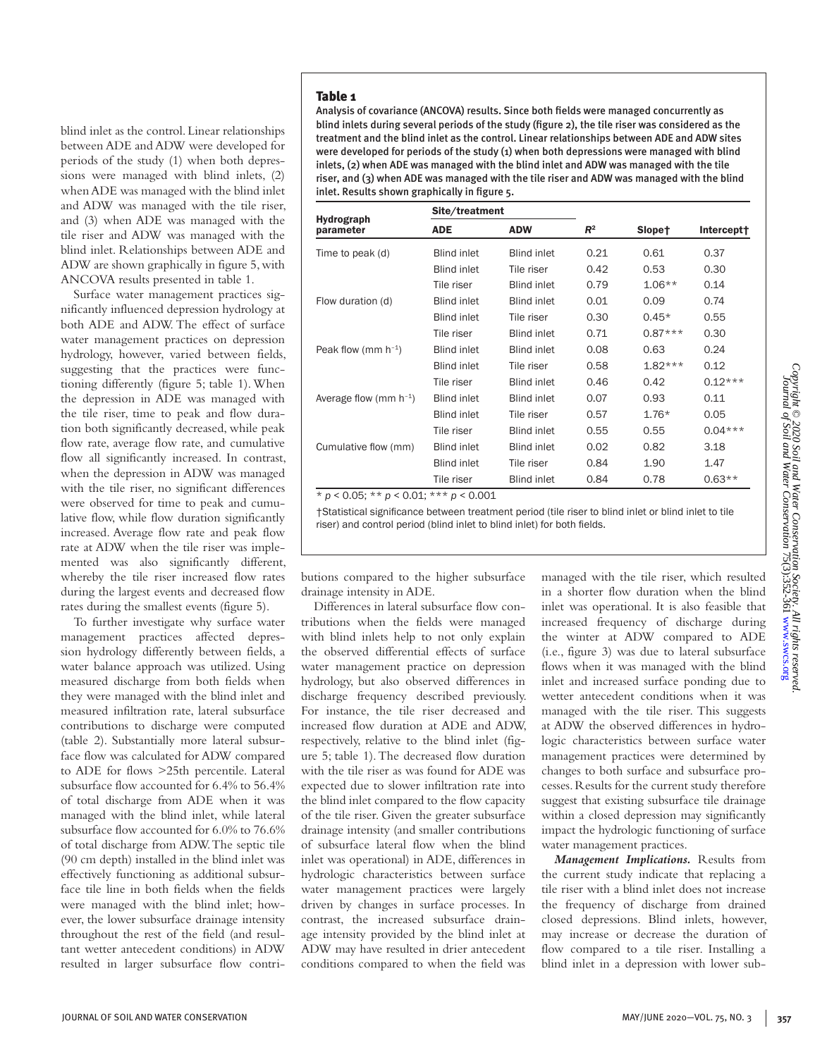blind inlet as the control. Linear relationships between ADE and ADW were developed for periods of the study (1) when both depressions were managed with blind inlets, (2) when ADE was managed with the blind inlet and ADW was managed with the tile riser, and (3) when ADE was managed with the tile riser and ADW was managed with the blind inlet. Relationships between ADE and ADW are shown graphically in figure 5, with ANCOVA results presented in table 1.

Surface water management practices significantly influenced depression hydrology at both ADE and ADW. The effect of surface water management practices on depression hydrology, however, varied between fields, suggesting that the practices were functioning differently (figure 5; table 1). When the depression in ADE was managed with the tile riser, time to peak and flow duration both significantly decreased, while peak flow rate, average flow rate, and cumulative flow all significantly increased. In contrast, when the depression in ADW was managed with the tile riser, no significant differences were observed for time to peak and cumulative flow, while flow duration significantly increased. Average flow rate and peak flow rate at ADW when the tile riser was implemented was also significantly different, whereby the tile riser increased flow rates during the largest events and decreased flow rates during the smallest events (figure 5).

To further investigate why surface water management practices affected depression hydrology differently between fields, a water balance approach was utilized. Using measured discharge from both fields when they were managed with the blind inlet and measured infiltration rate, lateral subsurface contributions to discharge were computed (table 2). Substantially more lateral subsurface flow was calculated for ADW compared to ADE for flows >25th percentile. Lateral subsurface flow accounted for 6.4% to 56.4% of total discharge from ADE when it was managed with the blind inlet, while lateral subsurface flow accounted for 6.0% to 76.6% of total discharge from ADW. The septic tile (90 cm depth) installed in the blind inlet was effectively functioning as additional subsurface tile line in both fields when the fields were managed with the blind inlet; however, the lower subsurface drainage intensity throughout the rest of the field (and resultant wetter antecedent conditions) in ADW resulted in larger subsurface flow contri-

#### Table 1

Analysis of covariance (ANCOVA) results. Since both fields were managed concurrently as blind inlets during several periods of the study (figure 2), the tile riser was considered as the treatment and the blind inlet as the control. Linear relationships between ADE and ADW sites were developed for periods of the study (1) when both depressions were managed with blind inlets, (2) when ADE was managed with the blind inlet and ADW was managed with the tile riser, and (3) when ADE was managed with the tile riser and ADW was managed with the blind inlet. Results shown graphically in figure 5.

| Hydrograph<br>parameter     | Site/treatment     |                    |                      |           |            |
|-----------------------------|--------------------|--------------------|----------------------|-----------|------------|
|                             | <b>ADE</b>         | <b>ADW</b>         | $R^2$                | Slope†    | Intercept† |
| Time to peak (d)            | <b>Blind inlet</b> | <b>Blind inlet</b> | 0.21                 | 0.61      | 0.37       |
|                             | <b>Blind inlet</b> | Tile riser         | 0.42                 | 0.53      | 0.30       |
|                             | Tile riser         | <b>Blind inlet</b> | 0.79                 | $1.06**$  | 0.14       |
| Flow duration (d)           | <b>Blind inlet</b> | <b>Blind inlet</b> | 0.01                 | 0.09      | 0.74       |
|                             | <b>Blind inlet</b> | Tile riser         | 0.30                 | $0.45*$   | 0.55       |
|                             | Tile riser         | <b>Blind inlet</b> | 0.71                 | $0.87***$ | 0.30       |
| Peak flow (mm $h^{-1}$ )    | <b>Blind inlet</b> | <b>Blind inlet</b> | 0.24<br>0.08<br>0.63 |           |            |
|                             | <b>Blind inlet</b> | Tile riser         | 0.58                 | $1.82***$ | 0.12       |
|                             | Tile riser         | <b>Blind inlet</b> | 0.46                 | 0.42      | $0.12***$  |
| Average flow (mm $h^{-1}$ ) | <b>Blind inlet</b> | <b>Blind inlet</b> | 0.07                 | 0.93      | 0.11       |
|                             | <b>Blind inlet</b> | Tile riser         | 0.57                 | $1.76*$   | 0.05       |
|                             | Tile riser         | <b>Blind inlet</b> | 0.55                 | 0.55      | $0.04***$  |
| Cumulative flow (mm)        | <b>Blind inlet</b> | <b>Blind inlet</b> | 0.02                 | 0.82      | 3.18       |
|                             | <b>Blind inlet</b> | Tile riser         | 0.84                 | 1.90      | 1.47       |
|                             | Tile riser         | <b>Blind inlet</b> | 0.84                 | 0.78      | $0.63**$   |

 $* p < 0.05; * p < 0.01; * * p < 0.001$ 

†Statistical significance between treatment period (tile riser to blind inlet or blind inlet to tile riser) and control period (blind inlet to blind inlet) for both fields.

butions compared to the higher subsurface drainage intensity in ADE.

Differences in lateral subsurface flow contributions when the fields were managed with blind inlets help to not only explain the observed differential effects of surface water management practice on depression hydrology, but also observed differences in discharge frequency described previously. For instance, the tile riser decreased and increased flow duration at ADE and ADW, respectively, relative to the blind inlet (figure 5; table 1). The decreased flow duration with the tile riser as was found for ADE was expected due to slower infiltration rate into the blind inlet compared to the flow capacity of the tile riser. Given the greater subsurface drainage intensity (and smaller contributions of subsurface lateral flow when the blind inlet was operational) in ADE, differences in hydrologic characteristics between surface water management practices were largely driven by changes in surface processes. In contrast, the increased subsurface drainage intensity provided by the blind inlet at ADW may have resulted in drier antecedent conditions compared to when the field was

managed with the tile riser, which resulted in a shorter flow duration when the blind inlet was operational. It is also feasible that increased frequency of discharge during the winter at ADW compared to ADE (i.e., figure 3) was due to lateral subsurface flows when it was managed with the blind inlet and increased surface ponding due to wetter antecedent conditions when it was managed with the tile riser. This suggests at ADW the observed differences in hydrologic characteristics between surface water management practices were determined by changes to both surface and subsurface processes. Results for the current study therefore suggest that existing subsurface tile drainage within a closed depression may significantly impact the hydrologic functioning of surface water management practices.

*Management Implications.* Results from the current study indicate that replacing a tile riser with a blind inlet does not increase the frequency of discharge from drained closed depressions. Blind inlets, however, may increase or decrease the duration of flow compared to a tile riser. Installing a blind inlet in a depression with lower sub-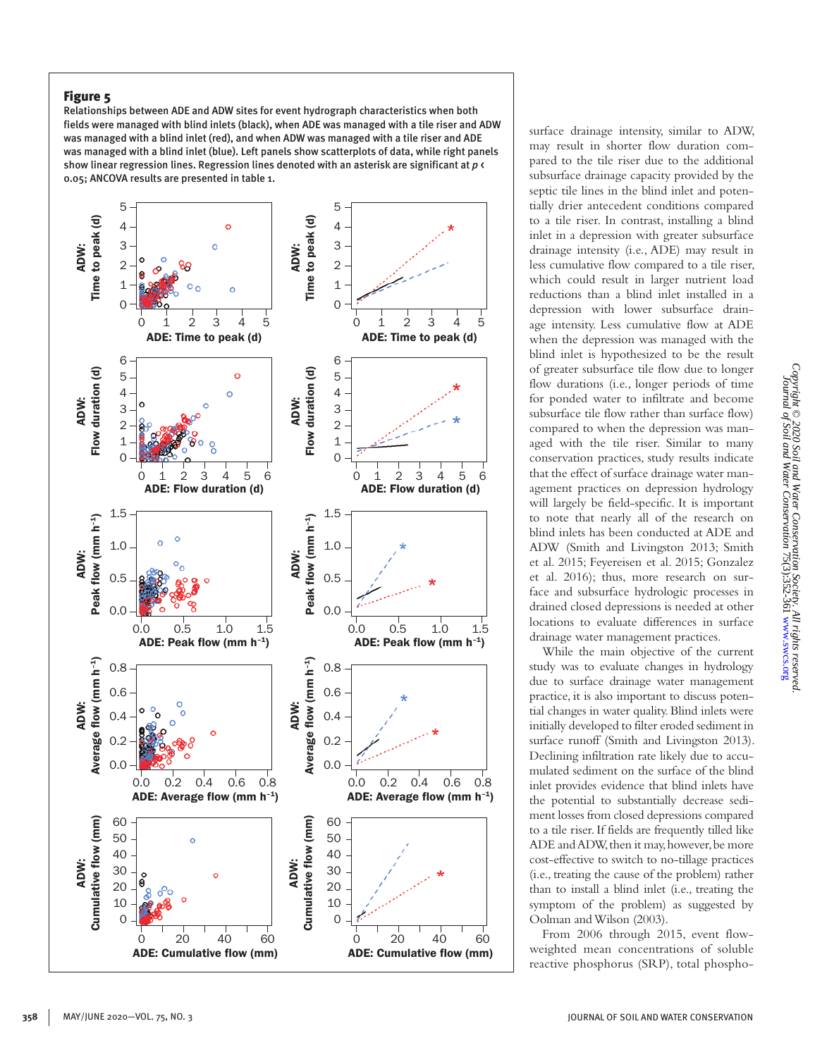# Figure 5

Relationships between ADE and ADW sites for event hydrograph characteristics when both fields were managed with blind inlets (black), when ADE was managed with a tile riser and ADW was managed with a blind inlet (red), and when ADW was managed with a tile riser and ADE was managed with a blind inlet (blue). Left panels show scatterplots of data, while right panels show linear regression lines. Regression lines denoted with an asterisk are significant at *p* < 0.05; ANCOVA results are presented in table 1.



surface drainage intensity, similar to ADW, may result in shorter flow duration compared to the tile riser due to the additional subsurface drainage capacity provided by the septic tile lines in the blind inlet and potentially drier antecedent conditions compared to a tile riser. In contrast, installing a blind inlet in a depression with greater subsurface drainage intensity (i.e., ADE) may result in less cumulative flow compared to a tile riser, which could result in larger nutrient load reductions than a blind inlet installed in a depression with lower subsurface drainage intensity. Less cumulative flow at ADE when the depression was managed with the blind inlet is hypothesized to be the result of greater subsurface tile flow due to longer flow durations (i.e., longer periods of time for ponded water to infiltrate and become subsurface tile flow rather than surface flow) compared to when the depression was managed with the tile riser. Similar to many conservation practices, study results indicate that the effect of surface drainage water management practices on depression hydrology will largely be field-specific. It is important to note that nearly all of the research on blind inlets has been conducted at ADE and ADW (Smith and Livingston 2013; Smith et al. 2015; Feyereisen et al. 2015; Gonzalez et al. 2016); thus, more research on surface and subsurface hydrologic processes in drained closed depressions is needed at other locations to evaluate differences in surface drainage water management practices.

While the main objective of the current study was to evaluate changes in hydrology due to surface drainage water management practice, it is also important to discuss potential changes in water quality. Blind inlets were initially developed to filter eroded sediment in surface runoff (Smith and Livingston 2013). Declining infiltration rate likely due to accumulated sediment on the surface of the blind inlet provides evidence that blind inlets have the potential to substantially decrease sediment losses from closed depressions compared to a tile riser. If fields are frequently tilled like ADE and ADW, then it may, however, be more cost-effective to switch to no-tillage practices (i.e., treating the cause of the problem) rather than to install a blind inlet (i.e., treating the symptom of the problem) as suggested by Oolman and Wilson (2003).

From 2006 through 2015, event flowweighted mean concentrations of soluble reactive phosphorus (SRP), total phospho-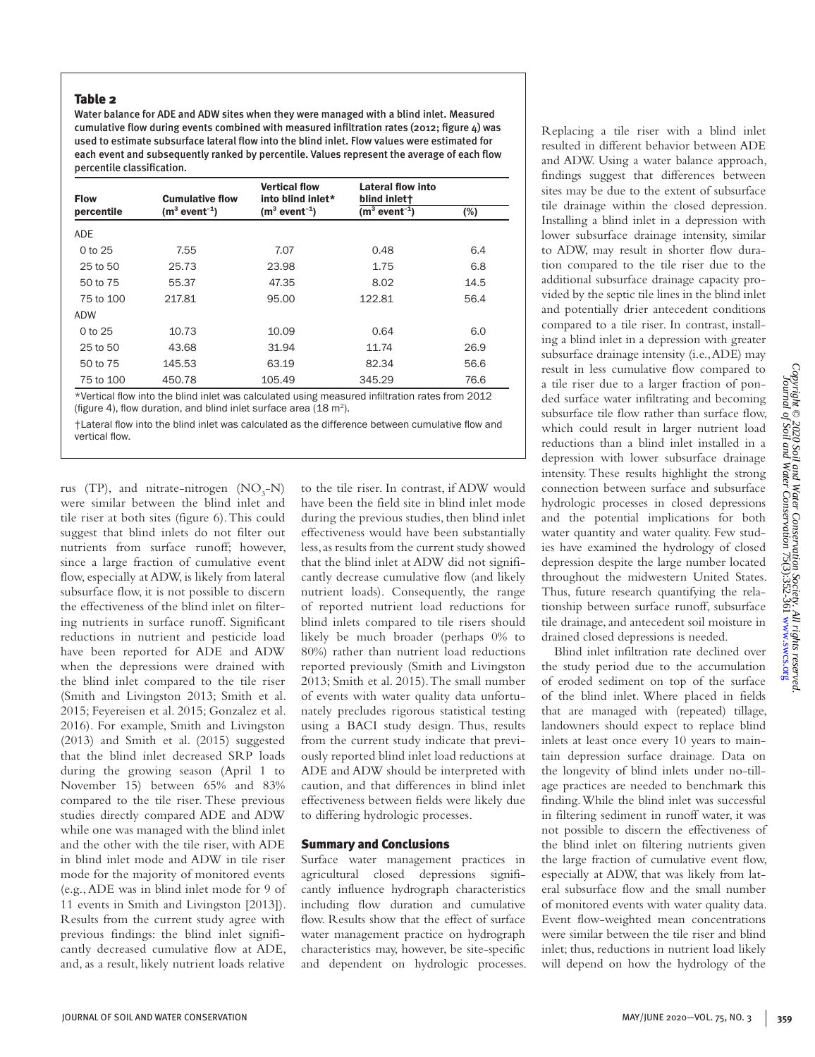# Table 2

Water balance for ADE and ADW sites when they were managed with a blind inlet. Measured cumulative flow during events combined with measured infiltration rates (2012; figure  $\Delta$ ) was used to estimate subsurface lateral flow into the blind inlet. Flow values were estimated for each event and subsequently ranked by percentile. Values represent the average of each flow percentile classification.

| <b>Flow</b> | <b>Cumulative flow</b>       | <b>Vertical flow</b><br>into blind inlet* | Lateral flow into<br>blind inlett |        |
|-------------|------------------------------|-------------------------------------------|-----------------------------------|--------|
| percentile  | $(m^3$ event <sup>-1</sup> ) | $(m^3$ event <sup>-1</sup> )              | $(m^3$ event <sup>-1</sup> )      | $(\%)$ |
| <b>ADE</b>  |                              |                                           |                                   |        |
| $0$ to $25$ | 7.55                         | 7.07                                      | 0.48                              | 6.4    |
| 25 to 50    | 25.73                        | 23.98                                     | 1.75                              | 6.8    |
| 50 to 75    | 55.37                        | 47.35                                     | 8.02                              | 14.5   |
| 75 to 100   | 217.81                       | 95.00                                     | 122.81                            | 56.4   |
| <b>ADW</b>  |                              |                                           |                                   |        |
| 0 to 25     | 10.73                        | 10.09                                     | 0.64                              | 6.0    |
| 25 to 50    | 43.68                        | 31.94                                     | 11.74                             | 26.9   |
| 50 to 75    | 145.53                       | 63.19                                     | 82.34                             | 56.6   |
| 75 to 100   | 450.78                       | 105.49                                    | 345.29                            | 76.6   |

\*Vertical flow into the blind inlet was calculated using measured infiltration rates from 2012 (figure 4), flow duration, and blind inlet surface area  $(18 \text{ m}^2)$ .

†Lateral flow into the blind inlet was calculated as the difference between cumulative flow and vertical flow.

rus (TP), and nitrate-nitrogen  $(NO<sub>3</sub>-N)$ were similar between the blind inlet and tile riser at both sites (figure 6). This could suggest that blind inlets do not filter out nutrients from surface runoff; however, since a large fraction of cumulative event flow, especially at ADW, is likely from lateral subsurface flow, it is not possible to discern the effectiveness of the blind inlet on filtering nutrients in surface runoff. Significant reductions in nutrient and pesticide load have been reported for ADE and ADW when the depressions were drained with the blind inlet compared to the tile riser (Smith and Livingston 2013; Smith et al. 2015; Feyereisen et al. 2015; Gonzalez et al. 2016). For example, Smith and Livingston (2013) and Smith et al. (2015) suggested that the blind inlet decreased SRP loads during the growing season (April 1 to November 15) between 65% and 83% compared to the tile riser. These previous studies directly compared ADE and ADW while one was managed with the blind inlet and the other with the tile riser, with ADE in blind inlet mode and ADW in tile riser mode for the majority of monitored events (e.g., ADE was in blind inlet mode for 9 of 11 events in Smith and Livingston [2013]). Results from the current study agree with previous findings: the blind inlet significantly decreased cumulative flow at ADE, and, as a result, likely nutrient loads relative

to the tile riser. In contrast, if ADW would have been the field site in blind inlet mode during the previous studies, then blind inlet effectiveness would have been substantially less, as results from the current study showed that the blind inlet at ADW did not significantly decrease cumulative flow (and likely nutrient loads). Consequently, the range of reported nutrient load reductions for blind inlets compared to tile risers should likely be much broader (perhaps 0% to 80%) rather than nutrient load reductions reported previously (Smith and Livingston 2013; Smith et al. 2015). The small number of events with water quality data unfortunately precludes rigorous statistical testing using a BACI study design. Thus, results from the current study indicate that previously reported blind inlet load reductions at ADE and ADW should be interpreted with caution, and that differences in blind inlet effectiveness between fields were likely due to differing hydrologic processes.

#### Summary and Conclusions

Surface water management practices in agricultural closed depressions significantly influence hydrograph characteristics including flow duration and cumulative flow. Results show that the effect of surface water management practice on hydrograph characteristics may, however, be site-specific and dependent on hydrologic processes.

Replacing a tile riser with a blind inlet resulted in different behavior between ADE and ADW. Using a water balance approach, findings suggest that differences between sites may be due to the extent of subsurface tile drainage within the closed depression. Installing a blind inlet in a depression with lower subsurface drainage intensity, similar to ADW, may result in shorter flow duration compared to the tile riser due to the additional subsurface drainage capacity provided by the septic tile lines in the blind inlet and potentially drier antecedent conditions compared to a tile riser. In contrast, installing a blind inlet in a depression with greater subsurface drainage intensity (i.e., ADE) may result in less cumulative flow compared to a tile riser due to a larger fraction of ponded surface water infiltrating and becoming subsurface tile flow rather than surface flow, which could result in larger nutrient load reductions than a blind inlet installed in a depression with lower subsurface drainage intensity. These results highlight the strong connection between surface and subsurface hydrologic processes in closed depressions and the potential implications for both water quantity and water quality. Few studies have examined the hydrology of closed depression despite the large number located throughout the midwestern United States. Thus, future research quantifying the relationship between surface runoff, subsurface tile drainage, and antecedent soil moisture in drained closed depressions is needed.

Blind inlet infiltration rate declined over the study period due to the accumulation of eroded sediment on top of the surface of the blind inlet. Where placed in fields that are managed with (repeated) tillage, landowners should expect to replace blind inlets at least once every 10 years to maintain depression surface drainage. Data on the longevity of blind inlets under no-tillage practices are needed to benchmark this finding. While the blind inlet was successful in filtering sediment in runoff water, it was not possible to discern the effectiveness of the blind inlet on filtering nutrients given the large fraction of cumulative event flow, especially at ADW, that was likely from lateral subsurface flow and the small number of monitored events with water quality data. Event flow-weighted mean concentrations were similar between the tile riser and blind inlet; thus, reductions in nutrient load likely will depend on how the hydrology of the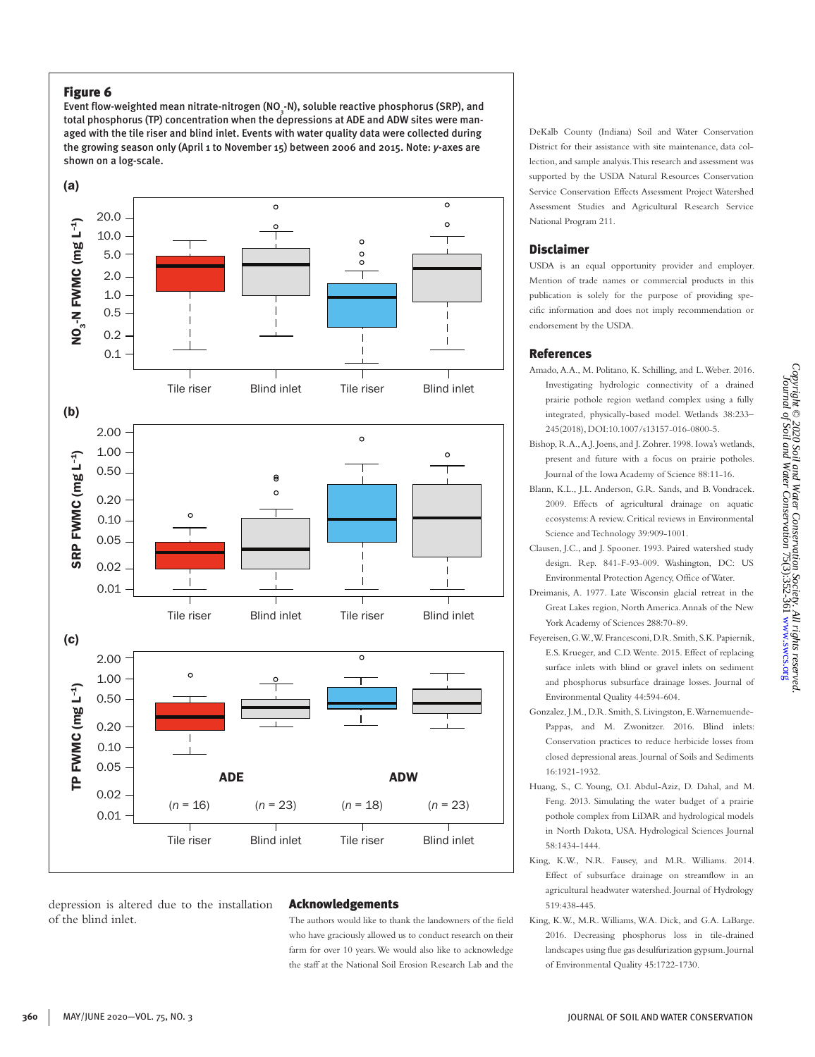# Figure 6

Event flow-weighted mean nitrate-nitrogen (NO $\frac{1}{3}$ -N), soluble reactive phosphorus (SRP), and total phosphorus (TP) concentration when the depressions at ADE and ADW sites were managed with the tile riser and blind inlet. Events with water quality data were collected during the growing season only (April 1 to November 15) between 2006 and 2015. Note: *y*-axes are shown on a log-scale.



depression is altered due to the installation of the blind inlet.

# Acknowledgements

The authors would like to thank the landowners of the field who have graciously allowed us to conduct research on their farm for over 10 years. We would also like to acknowledge the staff at the National Soil Erosion Research Lab and the

DeKalb County (Indiana) Soil and Water Conservation District for their assistance with site maintenance, data collection, and sample analysis. This research and assessment was supported by the USDA Natural Resources Conservation Service Conservation Effects Assessment Project Watershed Assessment Studies and Agricultural Research Service National Program 211.

# Disclaimer

USDA is an equal opportunity provider and employer. Mention of trade names or commercial products in this publication is solely for the purpose of providing specific information and does not imply recommendation or endorsement by the USDA.

# References

- Amado, A.A., M. Politano, K. Schilling, and L. Weber. 2016. Investigating hydrologic connectivity of a drained prairie pothole region wetland complex using a fully integrated, physically-based model. Wetlands 38:233– 245(2018), DOI:10.1007/s13157-016-0800-5.
- Bishop, R.A., A.J. Joens, and J. Zohrer. 1998. Iowa's wetlands, present and future with a focus on prairie potholes. Journal of the Iowa Academy of Science 88:11-16.
- Blann, K.L., J.L. Anderson, G.R. Sands, and B. Vondracek. 2009. Effects of agricultural drainage on aquatic ecosystems: A review. Critical reviews in Environmental Science and Technology 39:909-1001.
- Clausen, J.C., and J. Spooner. 1993. Paired watershed study design. Rep. 841-F-93-009. Washington, DC: US Environmental Protection Agency, Office of Water.
- Dreimanis, A. 1977. Late Wisconsin glacial retreat in the Great Lakes region, North America. Annals of the New York Academy of Sciences 288:70-89.
- Feyereisen, G.W., W. Francesconi, D.R. Smith, S.K. Papiernik, E.S. Krueger, and C.D. Wente. 2015. Effect of replacing surface inlets with blind or gravel inlets on sediment and phosphorus subsurface drainage losses. Journal of Environmental Quality 44:594-604.
- Gonzalez, J.M., D.R. Smith, S. Livingston, E. Warnemuende-Pappas, and M. Zwonitzer. 2016. Blind inlets: Conservation practices to reduce herbicide losses from closed depressional areas. Journal of Soils and Sediments 16:1921-1932.
- Huang, S., C. Young, O.I. Abdul-Aziz, D. Dahal, and M. Feng. 2013. Simulating the water budget of a prairie pothole complex from LiDAR and hydrological models in North Dakota, USA. Hydrological Sciences Journal 58:1434-1444.
- King, K.W., N.R. Fausey, and M.R. Williams. 2014. Effect of subsurface drainage on streamflow in an agricultural headwater watershed. Journal of Hydrology 519:438-445.
- King, K.W., M.R. Williams, W.A. Dick, and G.A. LaBarge. 2016. Decreasing phosphorus loss in tile-drained landscapes using flue gas desulfurization gypsum. Journal of Environmental Quality 45:1722-1730.